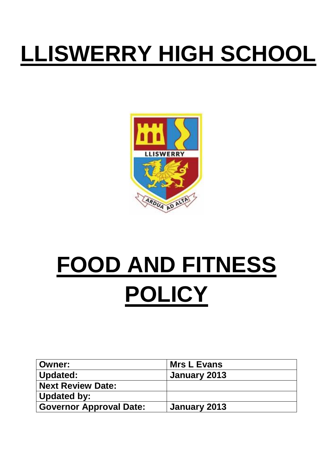## **LLISWERRY HIGH SCHOOL**



# **FOOD AND FITNESS POLICY**

| ∣ Owner:                       | Mrs L Evans  |
|--------------------------------|--------------|
| Updated:                       | January 2013 |
| Next Review Date:              |              |
| Updated by:                    |              |
| <b>Governor Approval Date:</b> | January 2013 |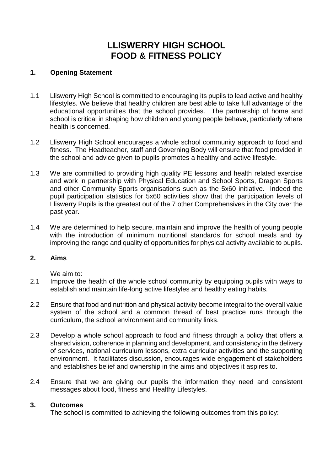## **LLISWERRY HIGH SCHOOL FOOD & FITNESS POLICY**

#### **1. Opening Statement**

- 1.1 Lliswerry High School is committed to encouraging its pupils to lead active and healthy lifestyles. We believe that healthy children are best able to take full advantage of the educational opportunities that the school provides. The partnership of home and school is critical in shaping how children and young people behave, particularly where health is concerned.
- 1.2 Lliswerry High School encourages a whole school community approach to food and fitness. The Headteacher, staff and Governing Body will ensure that food provided in the school and advice given to pupils promotes a healthy and active lifestyle.
- 1.3 We are committed to providing high quality PE lessons and health related exercise and work in partnership with Physical Education and School Sports, Dragon Sports and other Community Sports organisations such as the 5x60 initiative. Indeed the pupil participation statistics for 5x60 activities show that the participation levels of Lliswerry Pupils is the greatest out of the 7 other Comprehensives in the City over the past year.
- 1.4 We are determined to help secure, maintain and improve the health of young people with the introduction of minimum nutritional standards for school meals and by improving the range and quality of opportunities for physical activity available to pupils.

#### **2. Aims**

We aim to:

- 2.1 Improve the health of the whole school community by equipping pupils with ways to establish and maintain life-long active lifestyles and healthy eating habits.
- 2.2 Ensure that food and nutrition and physical activity become integral to the overall value system of the school and a common thread of best practice runs through the curriculum, the school environment and community links.
- 2.3 Develop a whole school approach to food and fitness through a policy that offers a shared vision, coherence in planning and development, and consistency in the delivery of services, national curriculum lessons, extra curricular activities and the supporting environment. It facilitates discussion, encourages wide engagement of stakeholders and establishes belief and ownership in the aims and objectives it aspires to.
- 2.4 Ensure that we are giving our pupils the information they need and consistent messages about food, fitness and Healthy Lifestyles.

#### **3. Outcomes**

The school is committed to achieving the following outcomes from this policy: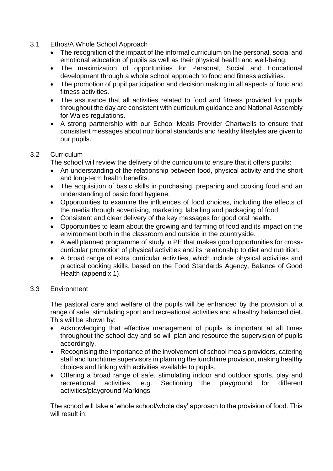#### 3.1 Ethos/A Whole School Approach

- The recognition of the impact of the informal curriculum on the personal, social and emotional education of pupils as well as their physical health and well-being.
- The maximization of opportunities for Personal, Social and Educational development through a whole school approach to food and fitness activities.
- The promotion of pupil participation and decision making in all aspects of food and fitness activities.
- The assurance that all activities related to food and fitness provided for pupils throughout the day are consistent with curriculum guidance and National Assembly for Wales regulations.
- A strong partnership with our School Meals Provider Chartwells to ensure that consistent messages about nutritional standards and healthy lifestyles are given to our pupils.

#### 3.2 Curriculum

The school will review the delivery of the curriculum to ensure that it offers pupils:

- An understanding of the relationship between food, physical activity and the short and long-term health benefits.
- The acquisition of basic skills in purchasing, preparing and cooking food and an understanding of basic food hygiene.
- Opportunities to examine the influences of food choices, including the effects of the media through advertising, marketing, labelling and packaging of food.
- Consistent and clear delivery of the key messages for good oral health.
- Opportunities to learn about the growing and farming of food and its impact on the environment both in the classroom and outside in the countryside.
- A well planned programme of study in PE that makes good opportunities for crosscurricular promotion of physical activities and its relationship to diet and nutrition.
- A broad range of extra curricular activities, which include physical activities and practical cooking skills, based on the Food Standards Agency, Balance of Good Health (appendix 1).

#### 3.3 Environment

The pastoral care and welfare of the pupils will be enhanced by the provision of a range of safe, stimulating sport and recreational activities and a healthy balanced diet. This will be shown by:

- Acknowledging that effective management of pupils is important at all times throughout the school day and so will plan and resource the supervision of pupils accordingly.
- Recognising the importance of the involvement of school meals providers, catering staff and lunchtime supervisors in planning the lunchtime provision, making healthy choices and linking with activities available to pupils.
- Offering a broad range of safe, stimulating indoor and outdoor sports, play and recreational activities, e.g. Sectioning the playground for different activities/playground Markings

The school will take a 'whole school/whole day' approach to the provision of food. This will result in: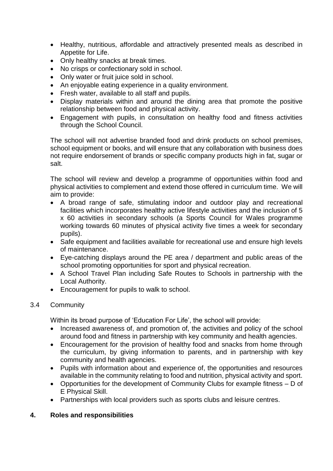- Healthy, nutritious, affordable and attractively presented meals as described in Appetite for Life.
- Only healthy snacks at break times.
- No crisps or confectionary sold in school.
- Only water or fruit juice sold in school.
- An enjoyable eating experience in a quality environment.
- Fresh water, available to all staff and pupils.
- Display materials within and around the dining area that promote the positive relationship between food and physical activity.
- Engagement with pupils, in consultation on healthy food and fitness activities through the School Council.

The school will not advertise branded food and drink products on school premises, school equipment or books, and will ensure that any collaboration with business does not require endorsement of brands or specific company products high in fat, sugar or salt.

The school will review and develop a programme of opportunities within food and physical activities to complement and extend those offered in curriculum time. We will aim to provide:

- A broad range of safe, stimulating indoor and outdoor play and recreational facilities which incorporates healthy active lifestyle activities and the inclusion of 5 x 60 activities in secondary schools (a Sports Council for Wales programme working towards 60 minutes of physical activity five times a week for secondary pupils).
- Safe equipment and facilities available for recreational use and ensure high levels of maintenance.
- Eye-catching displays around the PE area / department and public areas of the school promoting opportunities for sport and physical recreation.
- A School Travel Plan including Safe Routes to Schools in partnership with the Local Authority.
- Encouragement for pupils to walk to school.

#### 3.4 Community

Within its broad purpose of 'Education For Life', the school will provide:

- Increased awareness of, and promotion of, the activities and policy of the school around food and fitness in partnership with key community and health agencies.
- Encouragement for the provision of healthy food and snacks from home through the curriculum, by giving information to parents, and in partnership with key community and health agencies.
- Pupils with information about and experience of, the opportunities and resources available in the community relating to food and nutrition, physical activity and sport.
- Opportunities for the development of Community Clubs for example fitness D of E Physical Skill.
- Partnerships with local providers such as sports clubs and leisure centres.

#### **4. Roles and responsibilities**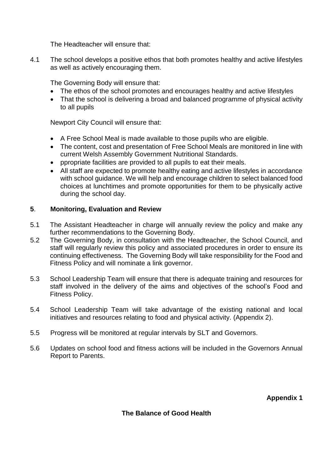The Headteacher will ensure that:

4.1 The school develops a positive ethos that both promotes healthy and active lifestyles as well as actively encouraging them.

The Governing Body will ensure that:

- The ethos of the school promotes and encourages healthy and active lifestyles
- That the school is delivering a broad and balanced programme of physical activity to all pupils

Newport City Council will ensure that:

- A Free School Meal is made available to those pupils who are eligible.
- The content, cost and presentation of Free School Meals are monitored in line with current Welsh Assembly Government Nutritional Standards.
- ppropriate facilities are provided to all pupils to eat their meals.
- All staff are expected to promote healthy eating and active lifestyles in accordance with school guidance. We will help and encourage children to select balanced food choices at lunchtimes and promote opportunities for them to be physically active during the school day.

#### **5**. **Monitoring, Evaluation and Review**

- 5.1 The Assistant Headteacher in charge will annually review the policy and make any further recommendations to the Governing Body.
- 5.2 The Governing Body, in consultation with the Headteacher, the School Council, and staff will regularly review this policy and associated procedures in order to ensure its continuing effectiveness. The Governing Body will take responsibility for the Food and Fitness Policy and will nominate a link governor.
- 5.3 School Leadership Team will ensure that there is adequate training and resources for staff involved in the delivery of the aims and objectives of the school's Food and Fitness Policy.
- 5.4 School Leadership Team will take advantage of the existing national and local initiatives and resources relating to food and physical activity. (Appendix 2).
- 5.5 Progress will be monitored at regular intervals by SLT and Governors.
- 5.6 Updates on school food and fitness actions will be included in the Governors Annual Report to Parents.

**Appendix 1**

#### **The Balance of Good Health**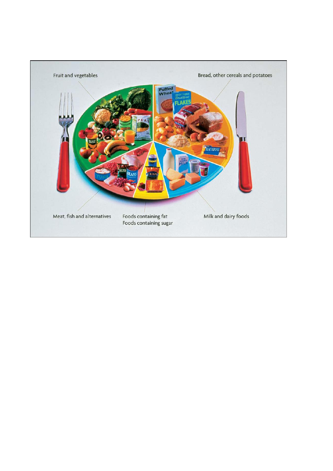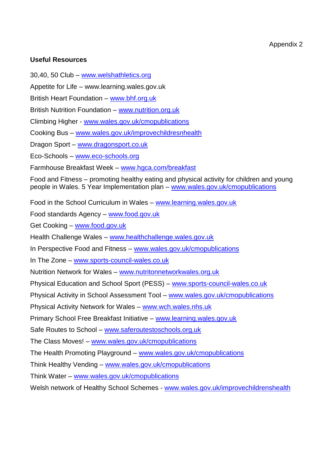#### **Useful Resources**

30,40, 50 Club – [www.welshathletics.org](http://www.welshathletics.org/)

Appetite for Life – www.learning.wales.gov.uk

British Heart Foundation – [www.bhf.org.uk](http://www.bhf.org.uk/)

British Nutrition Foundation – [www.nutrition.org.uk](http://www.nutrition.org.uk/)

Climbing Higher - [www.wales.gov.uk/cmopublications](http://www.wales.gov.uk/cmopublications)

Cooking Bus – [www.wales.gov.uk/improvechildresnhealth](http://www.wales.gov.uk/improvechildresnhealth)

Dragon Sport – [www.dragonsport.co.uk](http://www.dragonsport.co.uk/)

Eco-Schools – [www.eco-schools.org](http://www.eco-schools.org/)

Farmhouse Breakfast Week – [www.hgca.com/breakfast](http://www.hgca.com/breakfast)

Food and Fitness – promoting healthy eating and physical activity for children and young people in Wales. 5 Year Implementation plan – [www.wales.gov.uk/cmopublications](http://www.wales.gov.uk/cmopublications)

Food in the School Curriculum in Wales – [www.learning.wales.gov.uk](http://www.learning.wales.gov.uk/)

Food standards Agency – [www.food.gov.uk](http://www.food.gov.uk/)

Get Cooking – [www.food.gov.uk](http://www.food.gov.uk/)

Health Challenge Wales – [www.healthchallenge.wales.gov.uk](http://www.healthchallenge.wales.gov.uk/)

In Perspective Food and Fitness – [www.wales.gov.uk/cmopublications](http://www.wales.gov.uk/cmopublications)

In The Zone – [www.sports-council-wales.co.uk](http://www.sports-council-wales.co.uk/)

Nutrition Network for Wales – [www.nutritonnetworkwales.org.uk](http://www.nutritonnetworkwales.org.uk/)

Physical Education and School Sport (PESS) – [www.sports-council-wales.co.uk](http://www.sports-council-wales.co.uk/)

Physical Activity in School Assessment Tool – [www.wales.gov.uk/cmopublications](http://www.wales.gov.uk/cmopublications)

Physical Activity Network for Wales – [www.wch.wales.nhs.uk](http://www.wch.wales.nhs.uk/)

Primary School Free Breakfast Initiative – [www.learning.wales.gov.uk](http://www.learning.wales.gov.uk/)

Safe Routes to School – [www.saferoutestoschools.org.uk](http://www.saferoutestoschools.org.uk/)

The Class Moves! – [www.wales.gov.uk/cmopublications](http://www.wales.gov.uk/cmopublications)

The Health Promoting Playground – [www.wales.gov.uk/cmopublications](http://www.wales.gov.uk/cmopublications)

Think Healthy Vending – [www.wales.gov.uk/cmopublications](http://www.wales.gov.uk/cmopublications)

Think Water – [www.wales.gov.uk/cmopublications](http://www.wales.gov.uk/cmopublications)

Welsh network of Healthy School Schemes - [www.wales.gov.uk/improvechildrenshealth](http://www.wales.gov.uk/improvechildrenshealth)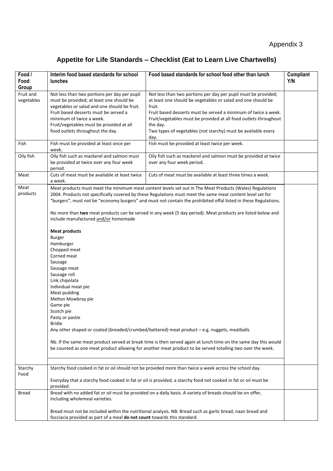### **Appetite for Life Standards – Checklist (Eat to Learn Live Chartwells)**

| Food /<br>Food<br>Group | Interim food based standards for school<br><b>lunches</b>                                                                                                                                                                                                                                                                                                                                                                                                                                                                                                                                                                                                                                                                                                                                                                                                                                                                                                                                                                                                                                                       | Food based standards for school food other than lunch                                                                                                                                                                                                                                                                                                               | Compliant<br>Y/N |
|-------------------------|-----------------------------------------------------------------------------------------------------------------------------------------------------------------------------------------------------------------------------------------------------------------------------------------------------------------------------------------------------------------------------------------------------------------------------------------------------------------------------------------------------------------------------------------------------------------------------------------------------------------------------------------------------------------------------------------------------------------------------------------------------------------------------------------------------------------------------------------------------------------------------------------------------------------------------------------------------------------------------------------------------------------------------------------------------------------------------------------------------------------|---------------------------------------------------------------------------------------------------------------------------------------------------------------------------------------------------------------------------------------------------------------------------------------------------------------------------------------------------------------------|------------------|
| Fruit and<br>vegetables | Not less than two portions per day per pupil<br>must be provided; at least one should be<br>vegetables or salad and one should be fruit.<br>Fruit based desserts must be served a<br>minimum of twice a week.<br>Fruit/vegetables must be provided at all<br>food outlets throughout the day.                                                                                                                                                                                                                                                                                                                                                                                                                                                                                                                                                                                                                                                                                                                                                                                                                   | Not less than two portions per day per pupil must be provided;<br>at least one should be vegetables or salad and one should be<br>fruit.<br>Fruit based desserts must be served a minimum of twice a week.<br>Fruit/vegetables must be provided at all food outlets throughout<br>the day.<br>Two types of vegetables (not starchy) must be available every<br>day. |                  |
| Fish                    | Fish must be provided at least once per<br>week.                                                                                                                                                                                                                                                                                                                                                                                                                                                                                                                                                                                                                                                                                                                                                                                                                                                                                                                                                                                                                                                                | Fish must be provided at least twice per week.                                                                                                                                                                                                                                                                                                                      |                  |
| Oily fish               | Oily fish such as mackerel and salmon must<br>be provided at twice over any four week<br>period.                                                                                                                                                                                                                                                                                                                                                                                                                                                                                                                                                                                                                                                                                                                                                                                                                                                                                                                                                                                                                | Oily fish such as mackerel and salmon must be provided at twice<br>over any four week period.                                                                                                                                                                                                                                                                       |                  |
| Meat                    | Cuts of meat must be available at least twice<br>a week.                                                                                                                                                                                                                                                                                                                                                                                                                                                                                                                                                                                                                                                                                                                                                                                                                                                                                                                                                                                                                                                        | Cuts of meat must be available at least three times a week.                                                                                                                                                                                                                                                                                                         |                  |
| Meat<br>products        | Meat products must meet the minimum meat content levels set out in The Meat Products (Wales) Regulations<br>2004. Products not specifically covered by these Regulations must meet the same meat content level set for<br>"burgers", must not be "economy burgers" and must not contain the prohibited offal listed in these Regulations.<br>No more than two meat products can be served in any week (5 day period). Meat products are listed below and<br>include manufactured and/or homemade<br><b>Meat products</b><br><b>Burger</b><br>Hamburger<br>Chopped meat<br>Corned meat<br>Sausage<br>Sausage meat<br>Sausage roll<br>Link chipolata<br>Individual meat pie<br>Meat pudding<br>Melton Mowbray pie<br>Game pie<br>Scotch pie<br>Pasty or pastie<br><b>Bridie</b><br>Any other shaped or coated (breaded/crumbed/battered) meat product $-e.g.$ nuggets, meatballs<br>Nb. If the same meat product served at break time is then served again at lunch time on the same day this would<br>be counted as one meat product allowing for another meat product to be served totalling two over the week. |                                                                                                                                                                                                                                                                                                                                                                     |                  |
| Starchy<br>Food         |                                                                                                                                                                                                                                                                                                                                                                                                                                                                                                                                                                                                                                                                                                                                                                                                                                                                                                                                                                                                                                                                                                                 | Starchy food cooked in fat or oil should not be provided more than twice a week across the school day.                                                                                                                                                                                                                                                              |                  |
|                         | provided.                                                                                                                                                                                                                                                                                                                                                                                                                                                                                                                                                                                                                                                                                                                                                                                                                                                                                                                                                                                                                                                                                                       | Everyday that a starchy food cooked in fat or oil is provided, a starchy food not cooked in fat or oil must be                                                                                                                                                                                                                                                      |                  |
| Bread                   | including wholemeal varieties.                                                                                                                                                                                                                                                                                                                                                                                                                                                                                                                                                                                                                                                                                                                                                                                                                                                                                                                                                                                                                                                                                  | Bread with no added fat or oil must be provided on a daily basis. A variety of breads should be on offer,                                                                                                                                                                                                                                                           |                  |
|                         | focciacia provided as part of a meal do not count towards this standard.                                                                                                                                                                                                                                                                                                                                                                                                                                                                                                                                                                                                                                                                                                                                                                                                                                                                                                                                                                                                                                        | Bread must not be included within the nutritional analysis. NB: Bread such as garlic bread, naan bread and                                                                                                                                                                                                                                                          |                  |